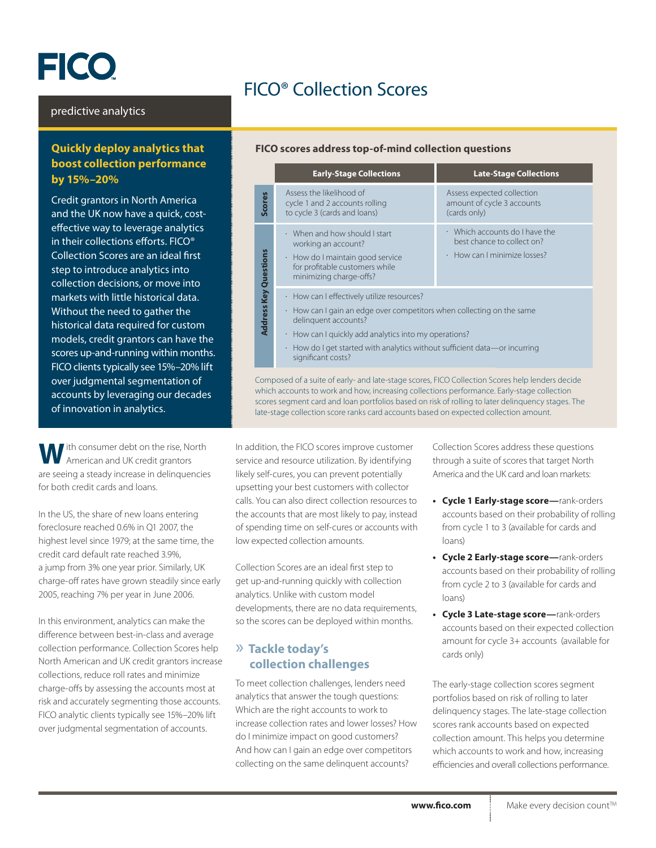# **FICO**

# FICO® Collection Scores

#### predictive analytics

# **Quickly deploy analytics that boost collection performance by 15%–20%**

Credit grantors in North America and the UK now have a quick, costeffective way to leverage analytics in their collections efforts. FICO® Collection Scores are an ideal first step to introduce analytics into collection decisions, or move into markets with little historical data. Without the need to gather the historical data required for custom models, credit grantors can have the scores up-and-running within months. FICO clients typically see 15%–20% lift over judgmental segmentation of accounts by leveraging our decades of innovation in analytics.

**W**ith consumer debt on the rise, North American and UK credit grantors are seeing a steady increase in delinquencies for both credit cards and loans.

In the US, the share of new loans entering foreclosure reached 0.6% in Q1 2007, the highest level since 1979; at the same time, the credit card default rate reached 3.9%, a jump from 3% one year prior. Similarly, UK charge-off rates have grown steadily since early 2005, reaching 7% per year in June 2006.

In this environment, analytics can make the difference between best-in-class and average collection performance. Collection Scores help North American and UK credit grantors increase collections, reduce roll rates and minimize charge-offs by assessing the accounts most at risk and accurately segmenting those accounts. FICO analytic clients typically see 15%–20% lift over judgmental segmentation of accounts.

#### **FICO scores address top-of-mind collection questions**

|                                                                                                                                                                                                                   | <b>Early-Stage Collections</b>                                                                                                                                                                                                                                                                                         | <b>Late-Stage Collections</b>                                                                            |
|-------------------------------------------------------------------------------------------------------------------------------------------------------------------------------------------------------------------|------------------------------------------------------------------------------------------------------------------------------------------------------------------------------------------------------------------------------------------------------------------------------------------------------------------------|----------------------------------------------------------------------------------------------------------|
| Scores                                                                                                                                                                                                            | Assess the likelihood of<br>cycle 1 and 2 accounts rolling<br>to cycle 3 (cards and loans)                                                                                                                                                                                                                             | Assess expected collection<br>amount of cycle 3 accounts<br>(cards only)                                 |
| <b>Address Key Questions</b>                                                                                                                                                                                      | $\cdot$ When and how should I start<br>working an account?<br>How do I maintain good service<br>٠<br>for profitable customers while<br>minimizing charge-offs?                                                                                                                                                         | $\cdot$ Which accounts do I have the<br>best chance to collect on?<br>$\cdot$ How can I minimize losses? |
|                                                                                                                                                                                                                   | How can I effectively utilize resources?<br>۰<br>How can I gain an edge over competitors when collecting on the same<br>$\bullet$<br>delinguent accounts?<br>How can I quickly add analytics into my operations?<br>$\bullet$<br>How do I get started with analytics without sufficient data—or incurring<br>$\bullet$ |                                                                                                          |
| significant costs?<br>Composed of a suite of early- and late-stage scores, FICO Collection Scores help lenders decide<br>which accounts to work and how increasing collections performance Early-stage collection |                                                                                                                                                                                                                                                                                                                        |                                                                                                          |

which accounts to work and how, increasing collections performance. Early-stage collection scores segment card and loan portfolios based on risk of rolling to later delinquency stages. The late-stage collection score ranks card accounts based on expected collection amount.

In addition, the FICO scores improve customer service and resource utilization. By identifying likely self-cures, you can prevent potentially upsetting your best customers with collector calls. You can also direct collection resources to the accounts that are most likely to pay, instead of spending time on self-cures or accounts with low expected collection amounts.

Collection Scores are an ideal first step to get up-and-running quickly with collection analytics. Unlike with custom model developments, there are no data requirements, so the scores can be deployed within months.

# » **Tackle today's collection challenges**

To meet collection challenges, lenders need analytics that answer the tough questions: Which are the right accounts to work to increase collection rates and lower losses? How do I minimize impact on good customers? And how can I gain an edge over competitors collecting on the same delinquent accounts?

Collection Scores address these questions through a suite of scores that target North America and the UK card and loan markets:

- **• Cycle 1 Early-stage score—**rank-orders accounts based on their probability of rolling from cycle 1 to 3 (available for cards and loans)
- **• Cycle 2 Early-stage score—**rank-orders accounts based on their probability of rolling from cycle 2 to 3 (available for cards and loans)
- **• Cycle 3 Late-stage score—**rank-orders accounts based on their expected collection amount for cycle 3+ accounts (available for cards only)

The early-stage collection scores segment portfolios based on risk of rolling to later delinquency stages. The late-stage collection scores rank accounts based on expected collection amount. This helps you determine which accounts to work and how, increasing efficiencies and overall collections performance.